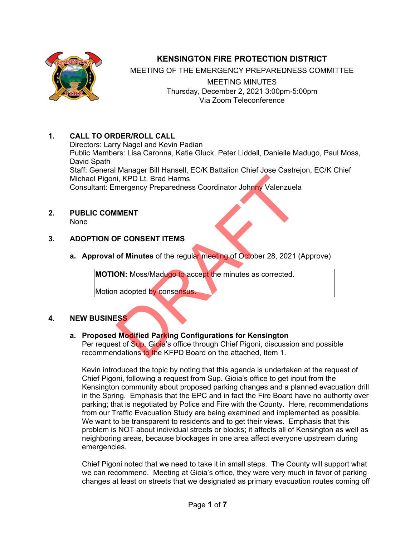

# **KENSINGTON FIRE PROTECTION DISTRICT**

MEETING OF THE EMERGENCY PREPAREDNESS COMMITTEE

MEETING MINUTES Thursday, December 2, 2021 3:00pm-5:00pm Via Zoom Teleconference

# **1. CALL TO ORDER/ROLL CALL**

Directors: Larry Nagel and Kevin Padian Public Members: Lisa Caronna, Katie Gluck, Peter Liddell, Danielle Madugo, Paul Moss, David Spath Staff: General Manager Bill Hansell, EC/K Battalion Chief Jose Castrejon, EC/K Chief Michael Pigoni, KPD Lt. Brad Harms Consultant: Emergency Preparedness Coordinator Johnny Valenzuela ii, KPD Lt. Brad Harms<br>
IMENT<br>
IMENT<br>
DRE CONSENT ITEMS<br>
OF CONSENT ITEMS<br>
OF CONSENT ITEMS<br>
OF Minutes of the regular meeting of October 28, 2021<br>
ON: Moss/Madugo to accept the minutes as corrected.<br>
Adopted by consensus.

#### **2. PUBLIC COMMENT** None

### **3. ADOPTION OF CONSENT ITEMS**

**a. Approval of Minutes** of the regular meeting of October 28, 2021 (Approve)

**MOTION:** Moss/Madugo to accept the minutes as corrected.

Motion adopted by consensus.

### **4. NEW BUSINESS**

### **a. Proposed Modified Parking Configurations for Kensington**

Per request of Sup. Gioia's office through Chief Pigoni, discussion and possible recommendations to the KFPD Board on the attached, Item 1.

Kevin introduced the topic by noting that this agenda is undertaken at the request of Chief Pigoni, following a request from Sup. Gioia's office to get input from the Kensington community about proposed parking changes and a planned evacuation drill in the Spring. Emphasis that the EPC and in fact the Fire Board have no authority over parking; that is negotiated by Police and Fire with the County. Here, recommendations from our Traffic Evacuation Study are being examined and implemented as possible. We want to be transparent to residents and to get their views. Emphasis that this problem is NOT about individual streets or blocks; it affects all of Kensington as well as neighboring areas, because blockages in one area affect everyone upstream during emergencies.

Chief Pigoni noted that we need to take it in small steps. The County will support what we can recommend. Meeting at Gioia's office, they were very much in favor of parking changes at least on streets that we designated as primary evacuation routes coming off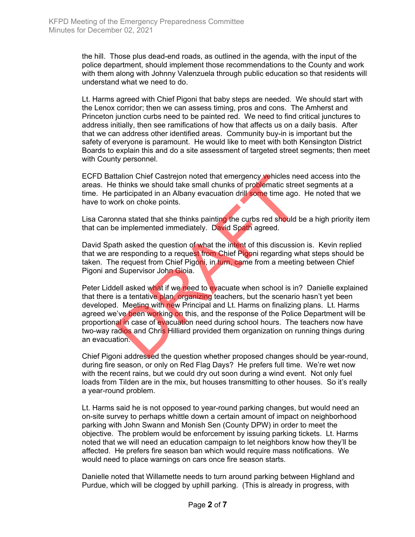the hill. Those plus dead-end roads, as outlined in the agenda, with the input of the police department, should implement those recommendations to the County and work with them along with Johnny Valenzuela through public education so that residents will understand what we need to do.

Lt. Harms agreed with Chief Pigoni that baby steps are needed. We should start with the Lenox corridor; then we can assess timing, pros and cons. The Amherst and Princeton junction curbs need to be painted red. We need to find critical junctures to address initially, then see ramifications of how that affects us on a daily basis. After that we can address other identified areas. Community buy-in is important but the safety of everyone is paramount. He would like to meet with both Kensington District Boards to explain this and do a site assessment of targeted street segments; then meet with County personnel.

ECFD Battalion Chief Castrejon noted that emergency vehicles need access into the areas. He thinks we should take small chunks of problematic street segments at a time. He participated in an Albany evacuation drill some time ago. He noted that we have to work on choke points.

Lisa Caronna stated that she thinks painting the curbs red should be a high priority item that can be implemented immediately. David Spath agreed.

David Spath asked the question of what the intent of this discussion is. Kevin replied that we are responding to a request from Chief Pigoni regarding what steps should be taken. The request from Chief Pigoni, in turn, came from a meeting between Chief Pigoni and Supervisor John Gioia.

Peter Liddell asked what if we need to evacuate when school is in? Danielle explained that there is a tentative plan, organizing teachers, but the scenario hasn't yet been developed. Meeting with new Principal and Lt. Harms on finalizing plans. Lt. Harms agreed we've been working on this, and the response of the Police Department will be proportional in case of evacuation need during school hours. The teachers now have two-way radios and Chris Hilliard provided them organization on running things during an evacuation. talion Chief Castrejon noted that emergency vehicles ne<br>thinks we should take small chunks of problematic stree<br>aarticipated in an Albany evacuation drill some time ago.<br>ork on choke points.<br>nna stated that she thinks pain

Chief Pigoni addressed the question whether proposed changes should be year-round, during fire season, or only on Red Flag Days? He prefers full time. We're wet now with the recent rains, but we could dry out soon during a wind event. Not only fuel loads from Tilden are in the mix, but houses transmitting to other houses. So it's really a year-round problem.

Lt. Harms said he is not opposed to year-round parking changes, but would need an on-site survey to perhaps whittle down a certain amount of impact on neighborhood parking with John Swann and Monish Sen (County DPW) in order to meet the objective. The problem would be enforcement by issuing parking tickets. Lt. Harms noted that we will need an education campaign to let neighbors know how they'll be affected. He prefers fire season ban which would require mass notifications. We would need to place warnings on cars once fire season starts.

Danielle noted that Willamette needs to turn around parking between Highland and Purdue, which will be clogged by uphill parking. (This is already in progress, with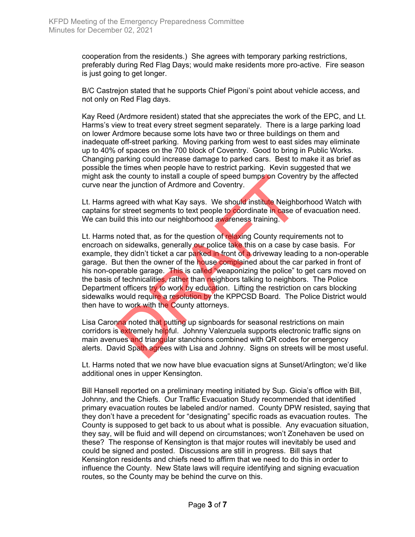cooperation from the residents.) She agrees with temporary parking restrictions, preferably during Red Flag Days; would make residents more pro-active. Fire season is just going to get longer.

B/C Castrejon stated that he supports Chief Pigoni's point about vehicle access, and not only on Red Flag days.

Kay Reed (Ardmore resident) stated that she appreciates the work of the EPC, and Lt. Harms's view to treat every street segment separately. There is a large parking load on lower Ardmore because some lots have two or three buildings on them and inadequate off-street parking. Moving parking from west to east sides may eliminate up to 40% of spaces on the 700 block of Coventry. Good to bring in Public Works. Changing parking could increase damage to parked cars. Best to make it as brief as possible the times when people have to restrict parking. Kevin suggested that we might ask the county to install a couple of speed bumps on Coventry by the affected curve near the junction of Ardmore and Coventry.

Lt. Harms agreed with what Kay says. We should institute Neighborhood Watch with captains for street segments to text people to coordinate in case of evacuation need. We can build this into our neighborhood awareness training.

Lt. Harms noted that, as for the question of relaxing County requirements not to encroach on sidewalks, generally our police take this on a case by case basis. For example, they didn't ticket a car parked in front of a driveway leading to a non-operable garage. But then the owner of the house complained about the car parked in front of his non-operable garage. This is called "weaponizing the police" to get cars moved on the basis of technicalities, rather than neighbors talking to neighbors. The Police Department officers try to work by education. Lifting the restriction on cars blocking sidewalks would require a resolution by the KPPCSD Board. The Police District would then have to work with the County attorneys. the county to install a couple of speed bumps on Covent<br>the junction of Ardmore and Coventry.<br>agreed with what Kay says. We should institute Neighb<br>or street segments to text people to coordinate in case of<br>illd this into

Lisa Caronna noted that putting up signboards for seasonal restrictions on main corridors is extremely helpful. Johnny Valenzuela supports electronic traffic signs on main avenues and triangular stanchions combined with QR codes for emergency alerts. David Spath agrees with Lisa and Johnny. Signs on streets will be most useful.

Lt. Harms noted that we now have blue evacuation signs at Sunset/Arlington; we'd like additional ones in upper Kensington.

Bill Hansell reported on a preliminary meeting initiated by Sup. Gioia's office with Bill, Johnny, and the Chiefs. Our Traffic Evacuation Study recommended that identified primary evacuation routes be labeled and/or named. County DPW resisted, saying that they don't have a precedent for "designating" specific roads as evacuation routes. The County is supposed to get back to us about what is possible. Any evacuation situation, they say, will be fluid and will depend on circumstances; won't Zonehaven be used on these? The response of Kensington is that major routes will inevitably be used and could be signed and posted. Discussions are still in progress. Bill says that Kensington residents and chiefs need to affirm that we need to do this in order to influence the County. New State laws will require identifying and signing evacuation routes, so the County may be behind the curve on this.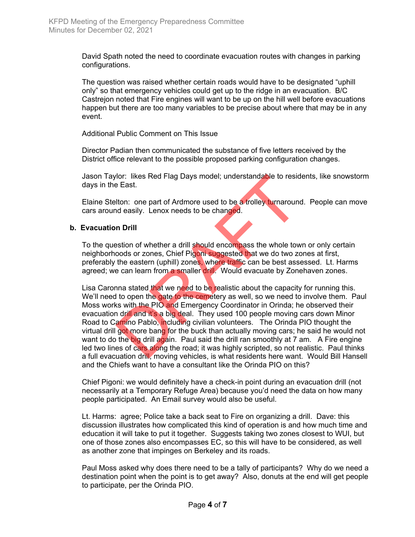David Spath noted the need to coordinate evacuation routes with changes in parking configurations.

The question was raised whether certain roads would have to be designated "uphill only" so that emergency vehicles could get up to the ridge in an evacuation. B/C Castrejon noted that Fire engines will want to be up on the hill well before evacuations happen but there are too many variables to be precise about where that may be in any event.

Additional Public Comment on This Issue

Director Padian then communicated the substance of five letters received by the District office relevant to the possible proposed parking configuration changes.

Jason Taylor: likes Red Flag Days model; understandable to residents, like snowstorm days in the East.

Elaine Stelton: one part of Ardmore used to be a trolley turnaround. People can move cars around easily. Lenox needs to be changed.

#### **b. Evacuation Drill**

To the question of whether a drill should encompass the whole town or only certain neighborhoods or zones, Chief Pigoni suggested that we do two zones at first, preferably the eastern (uphill) zones, where traffic can be best assessed. Lt. Harms agreed; we can learn from a smaller drill. Would evacuate by Zonehaven zones.

Lisa Caronna stated that we need to be realistic about the capacity for running this. We'll need to open the gate to the cemetery as well, so we need to involve them. Paul Moss works with the PIO and Emergency Coordinator in Orinda; he observed their evacuation drill and it's a big deal. They used 100 people moving cars down Minor Road to Camino Pablo, including civilian volunteers. The Orinda PIO thought the virtual drill got more bang for the buck than actually moving cars; he said he would not want to do the big drill again. Paul said the drill ran smoothly at 7 am. A Fire engine led two lines of cars along the road; it was highly scripted, so not realistic. Paul thinks a full evacuation drill, moving vehicles, is what residents here want. Would Bill Hansell and the Chiefs want to have a consultant like the Orinda PIO on this? flor: likes Red Flag Days model; understandable to residently<br>East.<br>
Iton: one part of Ardmore used to be a trolley turnaround<br>
deasily. Lenox needs to be changed.<br> **n Drill**<br>
stion of whether a drill should encompass the

Chief Pigoni: we would definitely have a check-in point during an evacuation drill (not necessarily at a Temporary Refuge Area) because you'd need the data on how many people participated. An Email survey would also be useful.

Lt. Harms: agree; Police take a back seat to Fire on organizing a drill. Dave: this discussion illustrates how complicated this kind of operation is and how much time and education it will take to put it together. Suggests taking two zones closest to WUI, but one of those zones also encompasses EC, so this will have to be considered, as well as another zone that impinges on Berkeley and its roads.

Paul Moss asked why does there need to be a tally of participants? Why do we need a destination point when the point is to get away? Also, donuts at the end will get people to participate, per the Orinda PIO.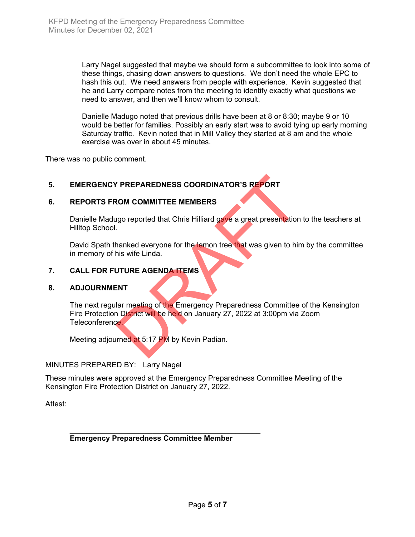Larry Nagel suggested that maybe we should form a subcommittee to look into some of these things, chasing down answers to questions. We don't need the whole EPC to hash this out. We need answers from people with experience. Kevin suggested that he and Larry compare notes from the meeting to identify exactly what questions we need to answer, and then we'll know whom to consult.

Danielle Madugo noted that previous drills have been at 8 or 8:30; maybe 9 or 10 would be better for families. Possibly an early start was to avoid tying up early morning Saturday traffic. Kevin noted that in Mill Valley they started at 8 am and the whole exercise was over in about 45 minutes.

There was no public comment.

### **5. EMERGENCY PREPAREDNESS COORDINATOR'S REPORT**

#### **6. REPORTS FROM COMMITTEE MEMBERS**

Danielle Madugo reported that Chris Hilliard gave a great presentation to the teachers at Hilltop School.

David Spath thanked everyone for the lemon tree that was given to him by the committee in memory of his wife Linda.

#### **7. CALL FOR FUTURE AGENDA ITEMS**

#### **8. ADJOURNMENT**

The next regular meeting of the Emergency Preparedness Committee of the Kensington Fire Protection District will be held on January 27, 2022 at 3:00pm via Zoom Teleconference. THE THE MEMBERS<br>
SOM COMMITTEE MEMBERS<br>
USO reported that Chris Hilliard gave a great presentation<br>
hanked everyone for the lemon tree that was given to him<br>
this wife Linda.<br>
UTURE AGENDA ITEMS<br>
ENT<br>
LITEMENT COMMITTEES C

Meeting adjourned at 5:17 PM by Kevin Padian.

#### MINUTES PREPARED BY: Larry Nagel

These minutes were approved at the Emergency Preparedness Committee Meeting of the Kensington Fire Protection District on January 27, 2022.

Attest:

**Emergency Preparedness Committee Member**

\_\_\_\_\_\_\_\_\_\_\_\_\_\_\_\_\_\_\_\_\_\_\_\_\_\_\_\_\_\_\_\_\_\_\_\_\_\_\_\_\_\_\_\_\_\_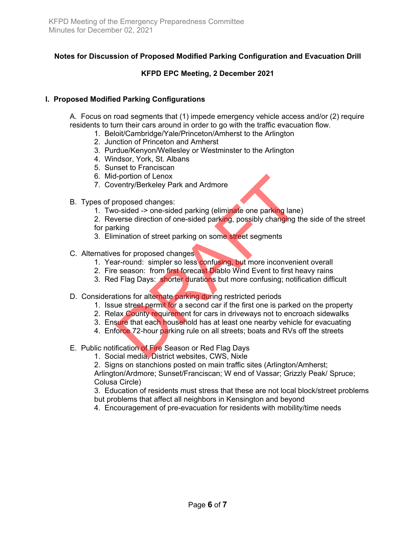# **Notes for Discussion of Proposed Modified Parking Configuration and Evacuation Drill**

### **KFPD EPC Meeting, 2 December 2021**

### **I. Proposed Modified Parking Configurations**

A. Focus on road segments that (1) impede emergency vehicle access and/or (2) require residents to turn their cars around in order to go with the traffic evacuation flow.

- 1. Beloit/Cambridge/Yale/Princeton/Amherst to the Arlington
- 2. Junction of Princeton and Amherst
- 3. Purdue/Kenyon/Wellesley or Westminster to the Arlington
- 4. Windsor, York, St. Albans
- 5. Sunset to Franciscan
- 6. Mid-portion of Lenox
- 7. Coventry/Berkeley Park and Ardmore
- B. Types of proposed changes:
	- 1. Two-sided -> one-sided parking (eliminate one parking lane)
- 2. Reverse direction of one-sided parking, possibly changing the side of the street for parking I-portion of Lenox<br>
ventry/Berkeley Park and Ardmore<br>
roposed changes:<br>
o-sided -> one-sided parking (eliminate one parking lane<br>
verse direction of one-sided parking, possibly changing t<br>
king<br>
mination of street parking
	- 3. Elimination of street parking on some street segments
- C. Alternatives for proposed changes
	- 1. Year-round: simpler so less confusing, but more inconvenient overall
	- 2. Fire season: from first forecast Diablo Wind Event to first heavy rains
	- 3. Red Flag Days: shorter durations but more confusing; notification difficult
- D. Considerations for alternate parking during restricted periods
	- 1. Issue street permit for a second car if the first one is parked on the property
	- 2. Relax County requirement for cars in driveways not to encroach sidewalks
	- 3. Ensure that each household has at least one nearby vehicle for evacuating
	- 4. Enforce 72-hour parking rule on all streets; boats and RVs off the streets
- E. Public notification of Fire Season or Red Flag Days
	- 1. Social media, District websites, CWS, Nixle
	- 2. Signs on stanchions posted on main traffic sites (Arlington/Amherst;

Arlington/Ardmore; Sunset/Franciscan; W end of Vassar; Grizzly Peak/ Spruce; Colusa Circle)

3. Education of residents must stress that these are not local block/street problems but problems that affect all neighbors in Kensington and beyond

4. Encouragement of pre-evacuation for residents with mobility/time needs